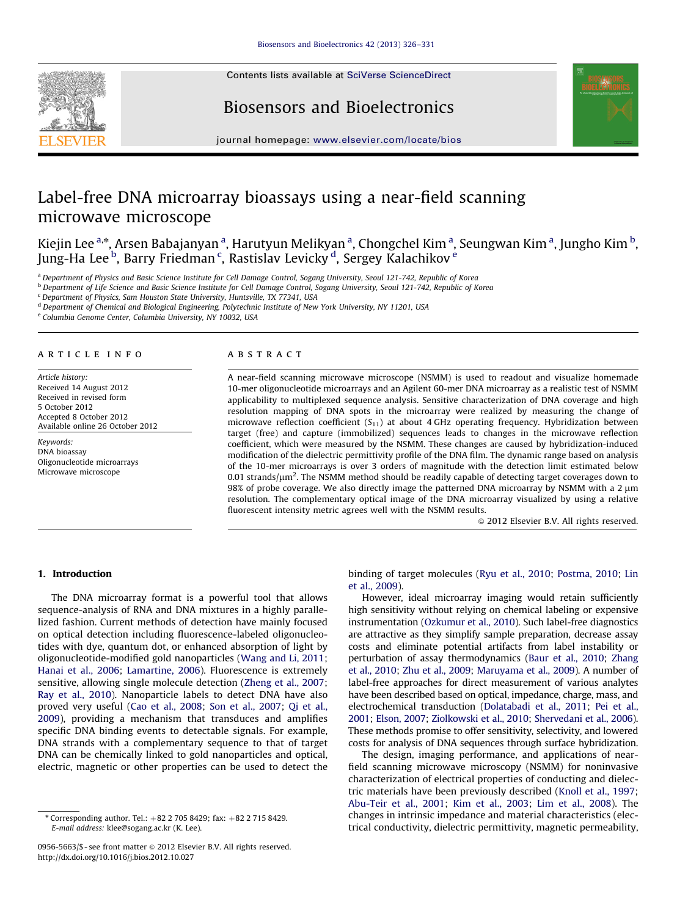Contents lists available at [SciVerse ScienceDirect](www.elsevier.com/locate/bios)







journal homepage: <www.elsevier.com/locate/bios>

# Label-free DNA microarray bioassays using a near-field scanning microwave microscope

Kiejin Lee <sup>a,</sup>\*, Arsen Babajanyan <sup>a</sup>, Harutyun Melikyan <sup>a</sup>, Chongchel Kim <sup>a</sup>, Seungwan Kim <sup>a</sup>, Jungho Kim <sup>b</sup>, Jung-Ha Lee <sup>b</sup>, Barry Friedman <sup>c</sup>, Rastislav Levicky <sup>d</sup>, Sergey Kalachikov <sup>e</sup>

<sup>a</sup> Department of Physics and Basic Science Institute for Cell Damage Control, Sogang University, Seoul 121-742, Republic of Korea

<sup>b</sup> Department of Life Science and Basic Science Institute for Cell Damage Control, Sogang University, Seoul 121-742, Republic of Korea

<sup>c</sup> Department of Physics, Sam Houston State University, Huntsville, TX 77341, USA

<sup>d</sup> Department of Chemical and Biological Engineering, Polytechnic Institute of New York University, NY 11201, USA

<sup>e</sup> Columbia Genome Center, Columbia University, NY 10032, USA

## article info

Article history: Received 14 August 2012 Received in revised form 5 October 2012 Accepted 8 October 2012 Available online 26 October 2012

Keywords: DNA bioassay Oligonucleotide microarrays Microwave microscope

#### **ABSTRACT**

A near-field scanning microwave microscope (NSMM) is used to readout and visualize homemade 10-mer oligonucleotide microarrays and an Agilent 60-mer DNA microarray as a realistic test of NSMM applicability to multiplexed sequence analysis. Sensitive characterization of DNA coverage and high resolution mapping of DNA spots in the microarray were realized by measuring the change of microwave reflection coefficient  $(S_{11})$  at about 4 GHz operating frequency. Hybridization between target (free) and capture (immobilized) sequences leads to changes in the microwave reflection coefficient, which were measured by the NSMM. These changes are caused by hybridization-induced modification of the dielectric permittivity profile of the DNA film. The dynamic range based on analysis of the 10-mer microarrays is over 3 orders of magnitude with the detection limit estimated below 0.01 strands/ $\mu$ m<sup>2</sup>. The NSMM method should be readily capable of detecting target coverages down to 98% of probe coverage. We also directly image the patterned DNA microarray by NSMM with a 2  $\mu$ m resolution. The complementary optical image of the DNA microarray visualized by using a relative fluorescent intensity metric agrees well with the NSMM results.

 $© 2012 Elsevier B.V. All rights reserved.$ 

# 1. Introduction

The DNA microarray format is a powerful tool that allows sequence-analysis of RNA and DNA mixtures in a highly parallelized fashion. Current methods of detection have mainly focused on optical detection including fluorescence-labeled oligonucleotides with dye, quantum dot, or enhanced absorption of light by oligonucleotide-modified gold nanoparticles ([Wang and Li, 2011;](#page-5-0) [Hanai et al., 2006](#page-5-0); [Lamartine, 2006](#page-5-0)). Fluorescence is extremely sensitive, allowing single molecule detection ([Zheng et al., 2007;](#page-5-0) [Ray et al., 2010](#page-5-0)). Nanoparticle labels to detect DNA have also proved very useful [\(Cao et al., 2008](#page-5-0); [Son et al., 2007;](#page-5-0) [Qi et al.,](#page-5-0) [2009\)](#page-5-0), providing a mechanism that transduces and amplifies specific DNA binding events to detectable signals. For example, DNA strands with a complementary sequence to that of target DNA can be chemically linked to gold nanoparticles and optical, electric, magnetic or other properties can be used to detect the binding of target molecules [\(Ryu et al., 2010;](#page-5-0) [Postma, 2010](#page-5-0); [Lin](#page-5-0) [et al., 2009\)](#page-5-0).

However, ideal microarray imaging would retain sufficiently high sensitivity without relying on chemical labeling or expensive instrumentation ([Ozkumur et al., 2010\)](#page-5-0). Such label-free diagnostics are attractive as they simplify sample preparation, decrease assay costs and eliminate potential artifacts from label instability or perturbation of assay thermodynamics ([Baur et al., 2010;](#page-5-0) [Zhang](#page-5-0) [et al., 2010](#page-5-0); [Zhu et al., 2009](#page-5-0); [Maruyama et al., 2009\)](#page-5-0). A number of label-free approaches for direct measurement of various analytes have been described based on optical, impedance, charge, mass, and electrochemical transduction [\(Dolatabadi et al., 2011](#page-5-0); [Pei et al.,](#page-5-0) [2001](#page-5-0); [Elson, 2007;](#page-5-0) [Ziolkowski et al., 2010;](#page-5-0) [Shervedani et al., 2006\)](#page-5-0). These methods promise to offer sensitivity, selectivity, and lowered costs for analysis of DNA sequences through surface hybridization.

The design, imaging performance, and applications of nearfield scanning microwave microscopy (NSMM) for noninvasive characterization of electrical properties of conducting and dielectric materials have been previously described ([Knoll et al., 1997;](#page-5-0) [Abu-Teir et al., 2001](#page-5-0); [Kim et al., 2003;](#page-5-0) [Lim et al., 2008\)](#page-5-0). The changes in intrinsic impedance and material characteristics (electrical conductivity, dielectric permittivity, magnetic permeability,

 $*$  Corresponding author. Tel.:  $+82$  2 705 8429; fax:  $+82$  2 715 8429. E-mail address: [klee@sogang.ac.kr \(K. Lee\)](mailto:klee@sogang.ac.kr).

<sup>0956-5663/\$ -</sup> see front matter  $\odot$  2012 Elsevier B.V. All rights reserved. [http://dx.doi.org/10.1016/j.bios.2012.10.027](dx.doi.org/10.1016/j.bios.2012.10.027)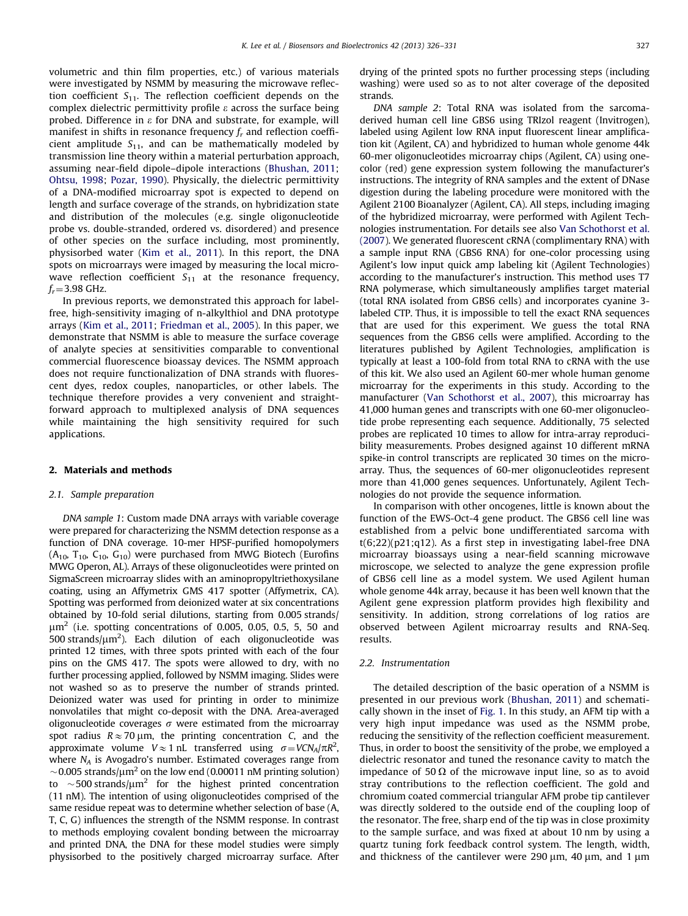volumetric and thin film properties, etc.) of various materials were investigated by NSMM by measuring the microwave reflection coefficient  $S_{11}$ . The reflection coefficient depends on the complex dielectric permittivity profile  $\varepsilon$  across the surface being probed. Difference in  $\varepsilon$  for DNA and substrate, for example, will manifest in shifts in resonance frequency  $f_r$  and reflection coefficient amplitude  $S_{11}$ , and can be mathematically modeled by transmission line theory within a material perturbation approach, assuming near-field dipole–dipole interactions ([Bhushan, 2011;](#page-5-0) [Ohtsu, 1998;](#page-5-0) [Pozar, 1990](#page-5-0)). Physically, the dielectric permittivity of a DNA-modified microarray spot is expected to depend on length and surface coverage of the strands, on hybridization state and distribution of the molecules (e.g. single oligonucleotide probe vs. double-stranded, ordered vs. disordered) and presence of other species on the surface including, most prominently, physisorbed water [\(Kim et al., 2011](#page-5-0)). In this report, the DNA spots on microarrays were imaged by measuring the local microwave reflection coefficient  $S_{11}$  at the resonance frequency,  $f_r = 3.98$  GHz.

In previous reports, we demonstrated this approach for labelfree, high-sensitivity imaging of n-alkylthiol and DNA prototype arrays ([Kim et al., 2011](#page-5-0); [Friedman et al., 2005\)](#page-5-0). In this paper, we demonstrate that NSMM is able to measure the surface coverage of analyte species at sensitivities comparable to conventional commercial fluorescence bioassay devices. The NSMM approach does not require functionalization of DNA strands with fluorescent dyes, redox couples, nanoparticles, or other labels. The technique therefore provides a very convenient and straightforward approach to multiplexed analysis of DNA sequences while maintaining the high sensitivity required for such applications.

## 2. Materials and methods

## 2.1. Sample preparation

DNA sample 1: Custom made DNA arrays with variable coverage were prepared for characterizing the NSMM detection response as a function of DNA coverage. 10-mer HPSF-purified homopolymers  $(A_{10}, T_{10}, C_{10}, G_{10})$  were purchased from MWG Biotech (Eurofins MWG Operon, AL). Arrays of these oligonucleotides were printed on SigmaScreen microarray slides with an aminopropyltriethoxysilane coating, using an Affymetrix GMS 417 spotter (Affymetrix, CA). Spotting was performed from deionized water at six concentrations obtained by 10-fold serial dilutions, starting from 0.005 strands/  $\mu$ m<sup>2</sup> (i.e. spotting concentrations of 0.005, 0.05, 0.5, 5, 50 and  $500$  strands/ $\mu$ m<sup>2</sup>). Each dilution of each oligonucleotide was printed 12 times, with three spots printed with each of the four pins on the GMS 417. The spots were allowed to dry, with no further processing applied, followed by NSMM imaging. Slides were not washed so as to preserve the number of strands printed. Deionized water was used for printing in order to minimize nonvolatiles that might co-deposit with the DNA. Area-averaged oligonucleotide coverages  $\sigma$  were estimated from the microarray spot radius  $R \approx 70 \mu m$ , the printing concentration C, and the approximate volume  $V \approx 1$  nL transferred using  $\sigma = VCN_A/\pi R^2$ , where  $N_A$  is Avogadro's number. Estimated coverages range from  $\sim$  0.005 strands/ $\mu$ m<sup>2</sup> on the low end (0.00011 nM printing solution) to  $\sim$  500 strands/ $\mu$ m<sup>2</sup> for the highest printed concentration (11 nM). The intention of using oligonucleotides comprised of the same residue repeat was to determine whether selection of base (A, T, C, G) influences the strength of the NSMM response. In contrast to methods employing covalent bonding between the microarray and printed DNA, the DNA for these model studies were simply physisorbed to the positively charged microarray surface. After drying of the printed spots no further processing steps (including washing) were used so as to not alter coverage of the deposited strands.

DNA sample 2: Total RNA was isolated from the sarcomaderived human cell line GBS6 using TRIzol reagent (Invitrogen), labeled using Agilent low RNA input fluorescent linear amplification kit (Agilent, CA) and hybridized to human whole genome 44k 60-mer oligonucleotides microarray chips (Agilent, CA) using onecolor (red) gene expression system following the manufacturer's instructions. The integrity of RNA samples and the extent of DNase digestion during the labeling procedure were monitored with the Agilent 2100 Bioanalyzer (Agilent, CA). All steps, including imaging of the hybridized microarray, were performed with Agilent Technologies instrumentation. For details see also [Van Schothorst et al.](#page-5-0) [\(2007](#page-5-0)). We generated fluorescent cRNA (complimentary RNA) with a sample input RNA (GBS6 RNA) for one-color processing using Agilent's low input quick amp labeling kit (Agilent Technologies) according to the manufacturer's instruction. This method uses T7 RNA polymerase, which simultaneously amplifies target material (total RNA isolated from GBS6 cells) and incorporates cyanine 3 labeled CTP. Thus, it is impossible to tell the exact RNA sequences that are used for this experiment. We guess the total RNA sequences from the GBS6 cells were amplified. According to the literatures published by Agilent Technologies, amplification is typically at least a 100-fold from total RNA to cRNA with the use of this kit. We also used an Agilent 60-mer whole human genome microarray for the experiments in this study. According to the manufacturer ([Van Schothorst et al., 2007](#page-5-0)), this microarray has 41,000 human genes and transcripts with one 60-mer oligonucleotide probe representing each sequence. Additionally, 75 selected probes are replicated 10 times to allow for intra-array reproducibility measurements. Probes designed against 10 different mRNA spike-in control transcripts are replicated 30 times on the microarray. Thus, the sequences of 60-mer oligonucleotides represent more than 41,000 genes sequences. Unfortunately, Agilent Technologies do not provide the sequence information.

In comparison with other oncogenes, little is known about the function of the EWS-Oct-4 gene product. The GBS6 cell line was established from a pelvic bone undifferentiated sarcoma with t(6;22)(p21;q12). As a first step in investigating label-free DNA microarray bioassays using a near-field scanning microwave microscope, we selected to analyze the gene expression profile of GBS6 cell line as a model system. We used Agilent human whole genome 44k array, because it has been well known that the Agilent gene expression platform provides high flexibility and sensitivity. In addition, strong correlations of log ratios are observed between Agilent microarray results and RNA-Seq. results.

# 2.2. Instrumentation

The detailed description of the basic operation of a NSMM is presented in our previous work ([Bhushan, 2011](#page-5-0)) and schematically shown in the inset of [Fig. 1](#page-2-0). In this study, an AFM tip with a very high input impedance was used as the NSMM probe, reducing the sensitivity of the reflection coefficient measurement. Thus, in order to boost the sensitivity of the probe, we employed a dielectric resonator and tuned the resonance cavity to match the impedance of 50  $\Omega$  of the microwave input line, so as to avoid stray contributions to the reflection coefficient. The gold and chromium coated commercial triangular AFM probe tip cantilever was directly soldered to the outside end of the coupling loop of the resonator. The free, sharp end of the tip was in close proximity to the sample surface, and was fixed at about 10 nm by using a quartz tuning fork feedback control system. The length, width, and thickness of the cantilever were 290  $\mu$ m, 40  $\mu$ m, and 1  $\mu$ m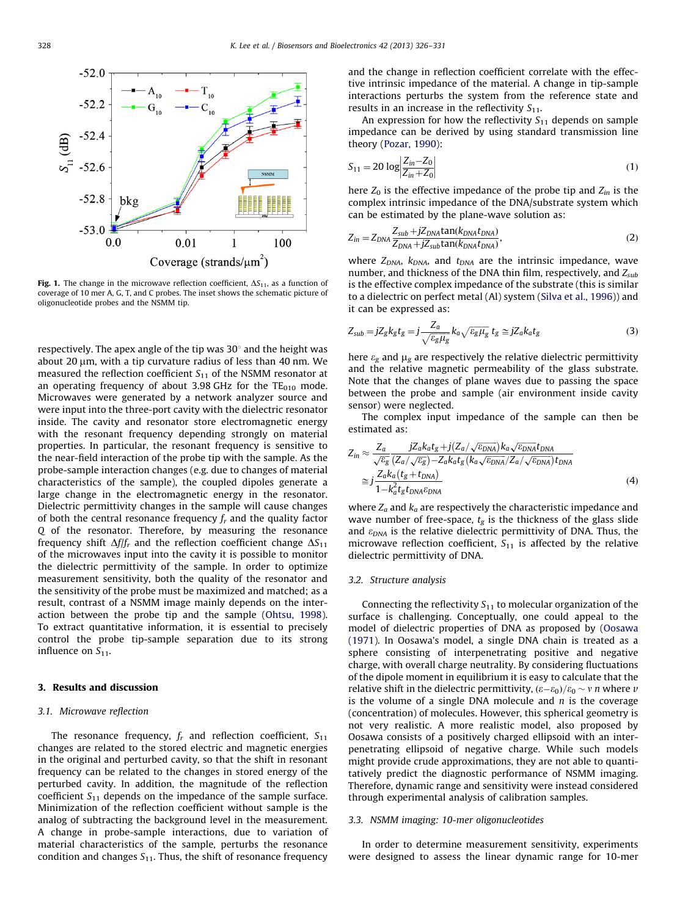<span id="page-2-0"></span>

Fig. 1. The change in the microwave reflection coefficient,  $\Delta S_{11}$ , as a function of coverage of 10 mer A, G, T, and C probes. The inset shows the schematic picture of oligonucleotide probes and the NSMM tip.

respectively. The apex angle of the tip was  $30^{\circ}$  and the height was about 20  $\mu$ m, with a tip curvature radius of less than 40 nm. We measured the reflection coefficient  $S_{11}$  of the NSMM resonator at an operating frequency of about 3.98 GHz for the  $TE<sub>010</sub>$  mode. Microwaves were generated by a network analyzer source and were input into the three-port cavity with the dielectric resonator inside. The cavity and resonator store electromagnetic energy with the resonant frequency depending strongly on material properties. In particular, the resonant frequency is sensitive to the near-field interaction of the probe tip with the sample. As the probe-sample interaction changes (e.g. due to changes of material characteristics of the sample), the coupled dipoles generate a large change in the electromagnetic energy in the resonator. Dielectric permittivity changes in the sample will cause changes of both the central resonance frequency  $f_r$  and the quality factor Q of the resonator. Therefore, by measuring the resonance frequency shift  $\Delta f/f_r$  and the reflection coefficient change  $\Delta S_{11}$ of the microwaves input into the cavity it is possible to monitor the dielectric permittivity of the sample. In order to optimize measurement sensitivity, both the quality of the resonator and the sensitivity of the probe must be maximized and matched; as a result, contrast of a NSMM image mainly depends on the interaction between the probe tip and the sample ([Ohtsu, 1998\)](#page-5-0). To extract quantitative information, it is essential to precisely control the probe tip-sample separation due to its strong influence on  $S_{11}$ .

# 3. Results and discussion

#### 3.1. Microwave reflection

The resonance frequency,  $f_r$  and reflection coefficient,  $S_{11}$ changes are related to the stored electric and magnetic energies in the original and perturbed cavity, so that the shift in resonant frequency can be related to the changes in stored energy of the perturbed cavity. In addition, the magnitude of the reflection coefficient  $S_{11}$  depends on the impedance of the sample surface. Minimization of the reflection coefficient without sample is the analog of subtracting the background level in the measurement. A change in probe-sample interactions, due to variation of material characteristics of the sample, perturbs the resonance condition and changes  $S_{11}$ . Thus, the shift of resonance frequency

and the change in reflection coefficient correlate with the effective intrinsic impedance of the material. A change in tip-sample interactions perturbs the system from the reference state and results in an increase in the reflectivity  $S_{11}$ .

An expression for how the reflectivity  $S_{11}$  depends on sample impedance can be derived by using standard transmission line theory ([Pozar, 1990\)](#page-5-0):

$$
S_{11} = 20 \log \left| \frac{Z_{in} - Z_0}{Z_{in} + Z_0} \right| \tag{1}
$$

here  $Z_0$  is the effective impedance of the probe tip and  $Z_{in}$  is the complex intrinsic impedance of the DNA/substrate system which can be estimated by the plane-wave solution as:

$$
Z_{in} = Z_{DNA} \frac{Z_{sub} + jZ_{DNA} \tan(k_{DNA} t_{DNA})}{Z_{DNA} + jZ_{sub} \tan(k_{DNA} t_{DNA})},
$$
\n(2)

where  $Z_{DNA}$ ,  $k_{DNA}$ , and  $t_{DNA}$  are the intrinsic impedance, wave number, and thickness of the DNA thin film, respectively, and  $Z_{sub}$ is the effective complex impedance of the substrate (this is similar to a dielectric on perfect metal (Al) system ([Silva et al., 1996](#page-5-0))) and it can be expressed as:

$$
Z_{\rm sub} = jZ_{\rm g}k_{\rm g}t_{\rm g} = j\frac{Z_a}{\sqrt{\varepsilon_{\rm g}\mu_{\rm g}}}k_a\sqrt{\varepsilon_{\rm g}\mu_{\rm g}}\;t_{\rm g} \simeq jZ_a k_a t_{\rm g} \tag{3}
$$

here  $\varepsilon_g$  and  $\mu_g$  are respectively the relative dielectric permittivity and the relative magnetic permeability of the glass substrate. Note that the changes of plane waves due to passing the space between the probe and sample (air environment inside cavity sensor) were neglected.

The complex input impedance of the sample can then be estimated as:

$$
Z_{in} \approx \frac{Z_a}{\sqrt{\varepsilon_g}} \frac{jZ_a k_a t_g + j(Z_a/\sqrt{\varepsilon_{DNA}}) k_a \sqrt{\varepsilon_{DNA}} t_{DNA}}{\sqrt{\varepsilon_g} (Z_a/\sqrt{\varepsilon_g}) - Z_a k_a t_g (k_a \sqrt{\varepsilon_{DNA}}) Z_a/\sqrt{\varepsilon_{DNA}}) t_{DNA}}
$$
  

$$
\approx j \frac{Z_a k_a (t_g + t_{DNA})}{1 - k_a^2 t_g t_{DNA} \varepsilon_{DNA}}
$$
(4)

where  $Z_a$  and  $k_a$  are respectively the characteristic impedance and wave number of free-space,  $t_g$  is the thickness of the glass slide and  $\varepsilon_{DNA}$  is the relative dielectric permittivity of DNA. Thus, the microwave reflection coefficient,  $S_{11}$  is affected by the relative dielectric permittivity of DNA.

## 3.2. Structure analysis

Connecting the reflectivity  $S_{11}$  to molecular organization of the surface is challenging. Conceptually, one could appeal to the model of dielectric properties of DNA as proposed by ([Oosawa](#page-5-0) [\(1971](#page-5-0)). In Oosawa's model, a single DNA chain is treated as a sphere consisting of interpenetrating positive and negative charge, with overall charge neutrality. By considering fluctuations of the dipole moment in equilibrium it is easy to calculate that the relative shift in the dielectric permittivity,  $(\varepsilon-\varepsilon_0)/\varepsilon_0 \sim v$  n where  $v$ is the volume of a single DNA molecule and  $n$  is the coverage (concentration) of molecules. However, this spherical geometry is not very realistic. A more realistic model, also proposed by Oosawa consists of a positively charged ellipsoid with an interpenetrating ellipsoid of negative charge. While such models might provide crude approximations, they are not able to quantitatively predict the diagnostic performance of NSMM imaging. Therefore, dynamic range and sensitivity were instead considered through experimental analysis of calibration samples.

#### 3.3. NSMM imaging: 10-mer oligonucleotides

In order to determine measurement sensitivity, experiments were designed to assess the linear dynamic range for 10-mer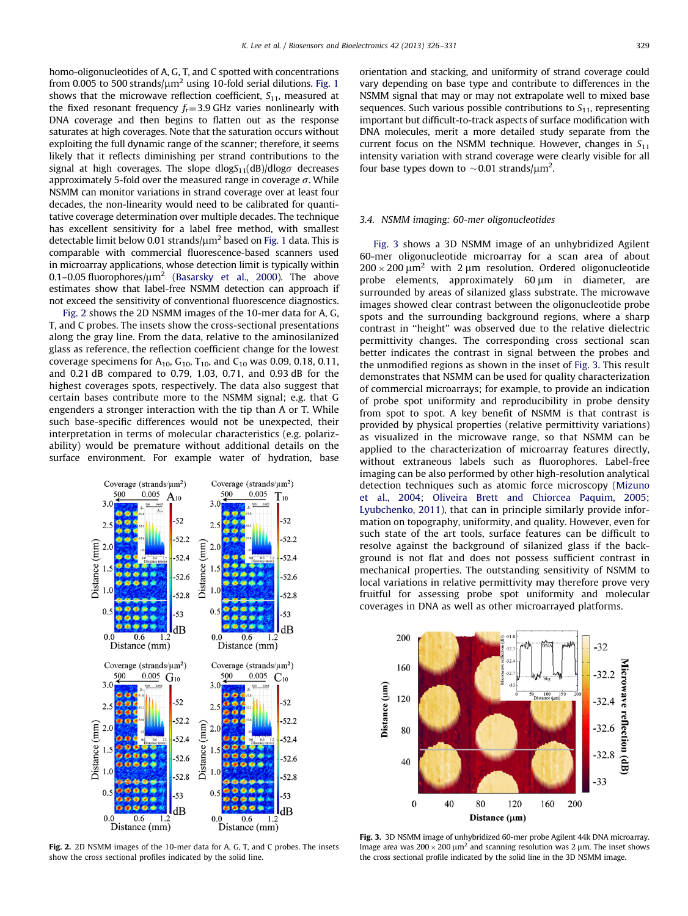homo-oligonucleotides of A, G, T, and C spotted with concentrations from 0.005 to 500 strands/ $\mu$ m<sup>2</sup> using 10-fold serial dilutions. [Fig. 1](#page-2-0) shows that the microwave reflection coefficient,  $S_{11}$ , measured at the fixed resonant frequency  $f_r = 3.9$  GHz varies nonlinearly with DNA coverage and then begins to flatten out as the response saturates at high coverages. Note that the saturation occurs without exploiting the full dynamic range of the scanner; therefore, it seems likely that it reflects diminishing per strand contributions to the signal at high coverages. The slope  $dlogS_{11}(dB)/dlog\sigma$  decreases approximately 5-fold over the measured range in coverage  $\sigma$ . While NSMM can monitor variations in strand coverage over at least four decades, the non-linearity would need to be calibrated for quantitative coverage determination over multiple decades. The technique has excellent sensitivity for a label free method, with smallest detectable limit below 0.01 strands/ $\mu$ m<sup>2</sup> based on [Fig. 1](#page-2-0) data. This is comparable with commercial fluorescence-based scanners used in microarray applications, whose detection limit is typically within 0.1–0.05 fluorophores/ $\mu$ m<sup>2</sup> [\(Basarsky et al., 2000](#page-5-0)). The above estimates show that label-free NSMM detection can approach if not exceed the sensitivity of conventional fluorescence diagnostics.

Fig. 2 shows the 2D NSMM images of the 10-mer data for A, G, T, and C probes. The insets show the cross-sectional presentations along the gray line. From the data, relative to the aminosilanized glass as reference, the reflection coefficient change for the lowest coverage specimens for  $A_{10}$ ,  $G_{10}$ ,  $T_{10}$ , and  $C_{10}$  was 0.09, 0.18, 0.11, and 0.21 dB compared to 0.79, 1.03, 0.71, and 0.93 dB for the highest coverages spots, respectively. The data also suggest that certain bases contribute more to the NSMM signal; e.g. that G engenders a stronger interaction with the tip than A or T. While such base-specific differences would not be unexpected, their interpretation in terms of molecular characteristics (e.g. polarizability) would be premature without additional details on the surface environment. For example water of hydration, base



Fig. 2. 2D NSMM images of the 10-mer data for A, G, T, and C probes. The insets show the cross sectional profiles indicated by the solid line.

orientation and stacking, and uniformity of strand coverage could vary depending on base type and contribute to differences in the NSMM signal that may or may not extrapolate well to mixed base sequences. Such various possible contributions to  $S_{11}$ , representing important but difficult-to-track aspects of surface modification with DNA molecules, merit a more detailed study separate from the current focus on the NSMM technique. However, changes in  $S_{11}$ intensity variation with strand coverage were clearly visible for all four base types down to  $\sim$  0.01 strands/ $\mu$ m<sup>2</sup>.

## 3.4. NSMM imaging: 60-mer oligonucleotides

Fig. 3 shows a 3D NSMM image of an unhybridized Agilent 60-mer oligonucleotide microarray for a scan area of about  $200 \times 200 \mu m^2$  with 2  $\mu$ m resolution. Ordered oligonucleotide probe elements, approximately  $60 \mu m$  in diameter, are surrounded by areas of silanized glass substrate. The microwave images showed clear contrast between the oligonucleotide probe spots and the surrounding background regions, where a sharp contrast in ''height'' was observed due to the relative dielectric permittivity changes. The corresponding cross sectional scan better indicates the contrast in signal between the probes and the unmodified regions as shown in the inset of Fig. 3. This result demonstrates that NSMM can be used for quality characterization of commercial microarrays; for example, to provide an indication of probe spot uniformity and reproducibility in probe density from spot to spot. A key benefit of NSMM is that contrast is provided by physical properties (relative permittivity variations) as visualized in the microwave range, so that NSMM can be applied to the characterization of microarray features directly, without extraneous labels such as fluorophores. Label-free imaging can be also performed by other high-resolution analytical detection techniques such as atomic force microscopy ([Mizuno](#page-5-0) [et al., 2004](#page-5-0); [Oliveira Brett and Chiorcea Paquim, 2005;](#page-5-0) [Lyubchenko, 2011\)](#page-5-0), that can in principle similarly provide information on topography, uniformity, and quality. However, even for such state of the art tools, surface features can be difficult to resolve against the background of silanized glass if the background is not flat and does not possess sufficient contrast in mechanical properties. The outstanding sensitivity of NSMM to local variations in relative permittivity may therefore prove very fruitful for assessing probe spot uniformity and molecular coverages in DNA as well as other microarrayed platforms.



Fig. 3. 3D NSMM image of unhybridized 60-mer probe Agilent 44k DNA microarray. Image area was  $200 \times 200 \mu m^2$  and scanning resolution was 2  $\mu$ m. The inset shows the cross sectional profile indicated by the solid line in the 3D NSMM image.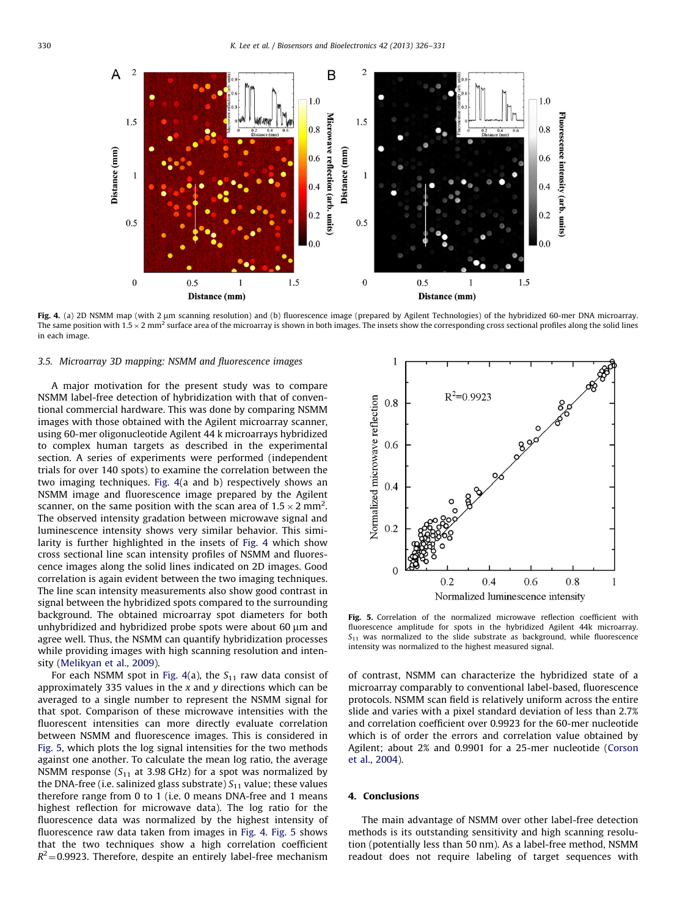

Fig. 4. (a) 2D NSMM map (with 2 µm scanning resolution) and (b) fluorescence image (prepared by Agilent Technologies) of the hybridized 60-mer DNA microarray. The same position with  $1.5 \times 2$  mm<sup>2</sup> surface area of the microarray is shown in both images. The insets show the corresponding cross sectional profiles along the solid lines in each image.

# 3.5. Microarray 3D mapping: NSMM and fluorescence images

A major motivation for the present study was to compare NSMM label-free detection of hybridization with that of conventional commercial hardware. This was done by comparing NSMM images with those obtained with the Agilent microarray scanner, using 60-mer oligonucleotide Agilent 44 k microarrays hybridized to complex human targets as described in the experimental section. A series of experiments were performed (independent trials for over 140 spots) to examine the correlation between the two imaging techniques. Fig. 4(a and b) respectively shows an NSMM image and fluorescence image prepared by the Agilent scanner, on the same position with the scan area of 1.5  $\times$  2 mm<sup>2</sup>. The observed intensity gradation between microwave signal and luminescence intensity shows very similar behavior. This similarity is further highlighted in the insets of Fig. 4 which show cross sectional line scan intensity profiles of NSMM and fluorescence images along the solid lines indicated on 2D images. Good correlation is again evident between the two imaging techniques. The line scan intensity measurements also show good contrast in signal between the hybridized spots compared to the surrounding background. The obtained microarray spot diameters for both unhybridized and hybridized probe spots were about 60  $\mu$ m and agree well. Thus, the NSMM can quantify hybridization processes while providing images with high scanning resolution and intensity [\(Melikyan et al., 2009\)](#page-5-0).

For each NSMM spot in Fig. 4(a), the  $S_{11}$  raw data consist of approximately 335 values in the  $x$  and  $y$  directions which can be averaged to a single number to represent the NSMM signal for that spot. Comparison of these microwave intensities with the fluorescent intensities can more directly evaluate correlation between NSMM and fluorescence images. This is considered in Fig. 5, which plots the log signal intensities for the two methods against one another. To calculate the mean log ratio, the average NSMM response  $(S_{11}$  at 3.98 GHz) for a spot was normalized by the DNA-free (i.e. salinized glass substrate)  $S_{11}$  value; these values therefore range from 0 to 1 (i.e. 0 means DNA-free and 1 means highest reflection for microwave data). The log ratio for the fluorescence data was normalized by the highest intensity of fluorescence raw data taken from images in Fig. 4. Fig. 5 shows that the two techniques show a high correlation coefficient  $R^2$  = 0.9923. Therefore, despite an entirely label-free mechanism



Fig. 5. Correlation of the normalized microwave reflection coefficient with fluorescence amplitude for spots in the hybridized Agilent 44k microarray.  $S_{11}$  was normalized to the slide substrate as background, while fluorescence intensity was normalized to the highest measured signal.

of contrast, NSMM can characterize the hybridized state of a microarray comparably to conventional label-based, fluorescence protocols. NSMM scan field is relatively uniform across the entire slide and varies with a pixel standard deviation of less than 2.7% and correlation coefficient over 0.9923 for the 60-mer nucleotide which is of order the errors and correlation value obtained by Agilent; about 2% and 0.9901 for a 25-mer nucleotide [\(Corson](#page-5-0) [et al., 2004\)](#page-5-0).

#### 4. Conclusions

The main advantage of NSMM over other label-free detection methods is its outstanding sensitivity and high scanning resolution (potentially less than 50 nm). As a label-free method, NSMM readout does not require labeling of target sequences with